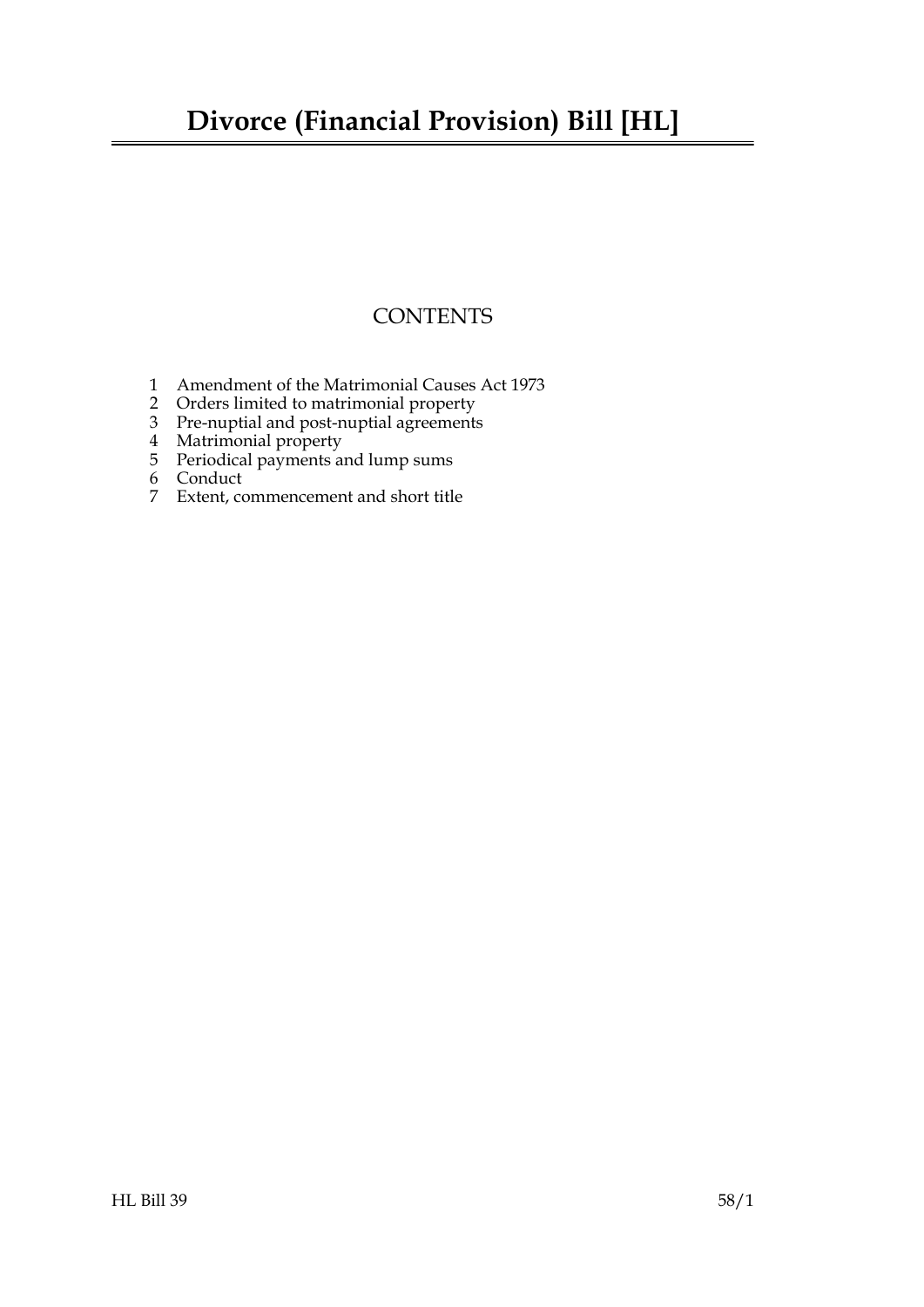# **Divorce (Financial Provision) Bill [HL]**

### **CONTENTS**

- [1 Amendment of the Matrimonial Causes Act 1973](#page-2-0)
- [2 Orders limited to matrimonial property](#page-3-0)
- [3 Pre-nuptial and post-nuptial agreements](#page-3-1)
- [4 Matrimonial property](#page-4-0)
- [5 Periodical payments and lump sums](#page-5-0)
- [6 Conduct](#page-6-0)
- 7 [Extent, commencement and short title](#page-6-1)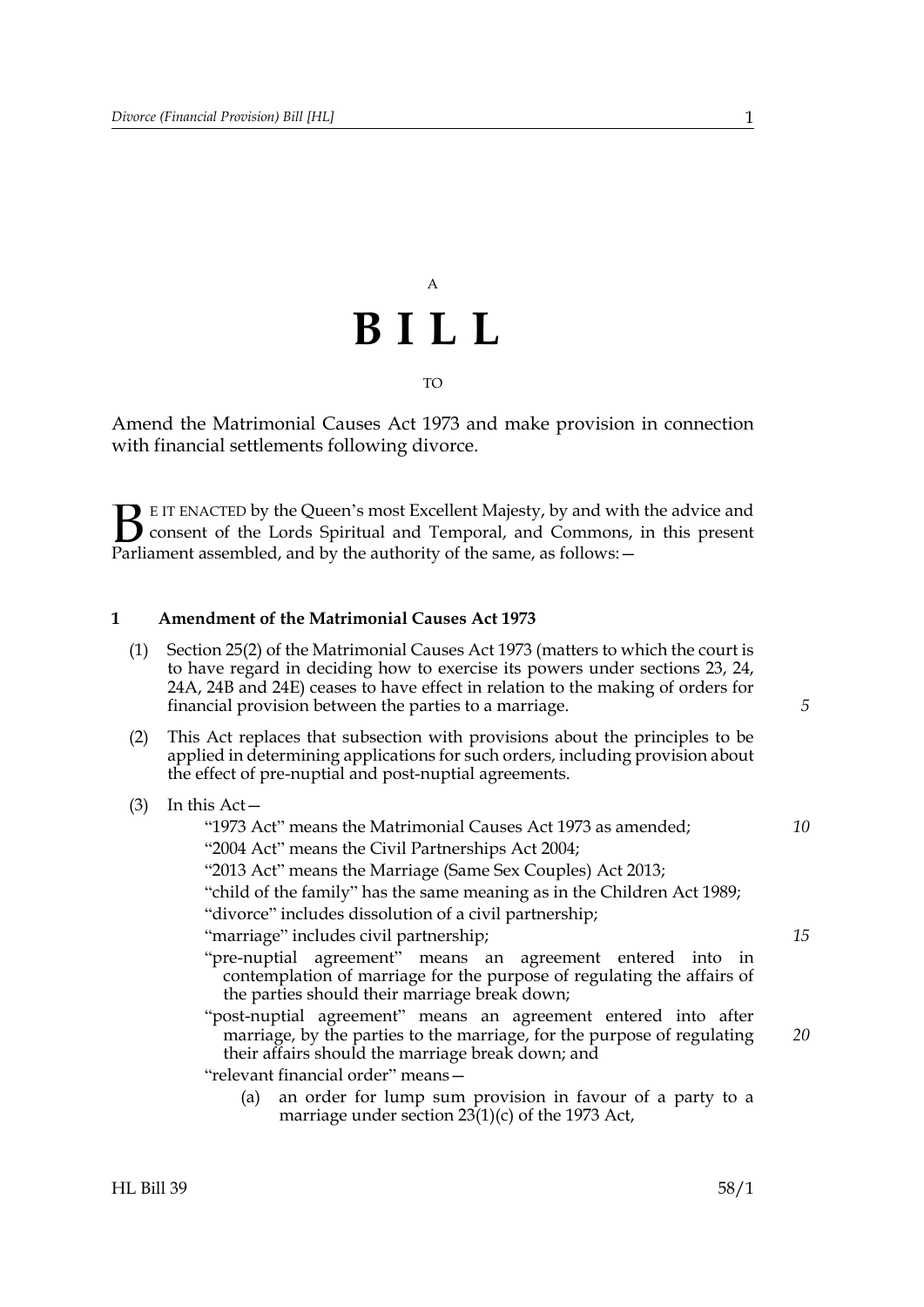# A **BILL** TO

Amend the Matrimonial Causes Act 1973 and make provision in connection with financial settlements following divorce.

E IT ENACTED by the Queen's most Excellent Majesty, by and with the advice and consent of the Lords Spiritual and Temporal, and Commons, in this present **B** E IT ENACTED by the Queen's most Excellent Majesty, by and with consent of the Lords Spiritual and Temporal, and Commons, Parliament assembled, and by the authority of the same, as follows:  $-$ 

#### <span id="page-2-1"></span><span id="page-2-0"></span>**1 Amendment of the Matrimonial Causes Act 1973**

- (1) Section 25(2) of the Matrimonial Causes Act 1973 (matters to which the court is to have regard in deciding how to exercise its powers under sections 23, 24, 24A, 24B and 24E) ceases to have effect in relation to the making of orders for financial provision between the parties to a marriage.
- (2) This Act replaces that subsection with provisions about the principles to be applied in determining applications for such orders, including provision about the effect of pre-nuptial and post-nuptial agreements.
- (3) In this Act—

"1973 Act" means the Matrimonial Causes Act 1973 as amended; "2004 Act" means the Civil Partnerships Act 2004; "2013 Act" means the Marriage (Same Sex Couples) Act 2013; "child of the family" has the same meaning as in the Children Act 1989; "divorce" includes dissolution of a civil partnership; "marriage" includes civil partnership; "pre-nuptial agreement" means an agreement entered into in contemplation of marriage for the purpose of regulating the affairs of *10 15*

- the parties should their marriage break down; "post-nuptial agreement" means an agreement entered into after marriage, by the parties to the marriage, for the purpose of regulating their affairs should the marriage break down; and
- "relevant financial order" means—
	- (a) an order for lump sum provision in favour of a party to a marriage under section  $23(1)(c)$  of the 1973 Act,

*5*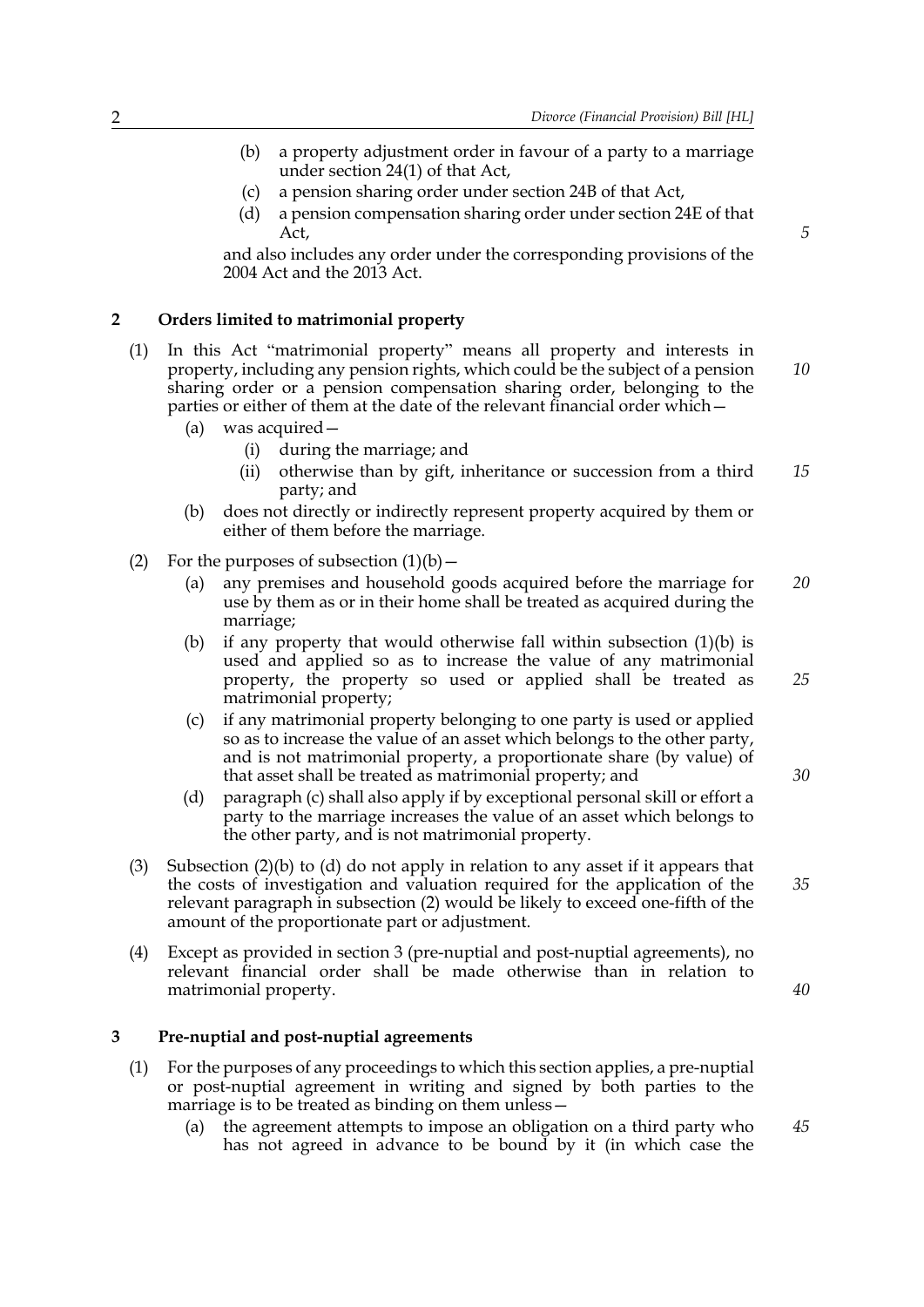- (b) a property adjustment order in favour of a party to a marriage under section 24(1) of that Act,
- (c) a pension sharing order under section 24B of that Act,
- (d) a pension compensation sharing order under section 24E of that Act,

and also includes any order under the corresponding provisions of the 2004 Act and the 2013 Act.

#### <span id="page-3-0"></span>**2 Orders limited to matrimonial property**

- (1) In this Act "matrimonial property" means all property and interests in property, including any pension rights, which could be the subject of a pension sharing order or a pension compensation sharing order, belonging to the parties or either of them at the date of the relevant financial order which— *10*
	- (a) was acquired—
		- (i) during the marriage; and
		- (ii) otherwise than by gift, inheritance or succession from a third party; and *15*
	- (b) does not directly or indirectly represent property acquired by them or either of them before the marriage.
- <span id="page-3-7"></span><span id="page-3-5"></span><span id="page-3-4"></span><span id="page-3-3"></span>(2) For the purposes of subsection  $(1)(b)$  –
	- (a) any premises and household goods acquired before the marriage for use by them as or in their home shall be treated as acquired during the marriage; *20*
	- (b) if any property that would otherwise fall within subsection  $(1)(b)$  is used and applied so as to increase the value of any matrimonial property, the property so used or applied shall be treated as matrimonial property;
	- (c) if any matrimonial property belonging to one party is used or applied so as to increase the value of an asset which belongs to the other party, and is not matrimonial property, a proportionate share (by value) of that asset shall be treated as matrimonial property; and
	- (d) paragraph [\(c\)](#page-3-4) shall also apply if by exceptional personal skill or effort a party to the marriage increases the value of an asset which belongs to the other party, and is not matrimonial property.
- <span id="page-3-6"></span>(3) Subsection [\(2\)\(b\)](#page-3-5) to [\(d\)](#page-3-6) do not apply in relation to any asset if it appears that the costs of investigation and valuation required for the application of the relevant paragraph in subsection [\(2\)](#page-3-7) would be likely to exceed one-fifth of the amount of the proportionate part or adjustment.
- (4) Except as provided in section [3](#page-3-2) (pre-nuptial and post-nuptial agreements), no relevant financial order shall be made otherwise than in relation to matrimonial property.

#### <span id="page-3-2"></span><span id="page-3-1"></span>**3 Pre-nuptial and post-nuptial agreements**

- (1) For the purposes of any proceedings to which this section applies, a pre-nuptial or post-nuptial agreement in writing and signed by both parties to the marriage is to be treated as binding on them unless—
	- (a) the agreement attempts to impose an obligation on a third party who has not agreed in advance to be bound by it (in which case the *45*

*5*

*25*

*30*

*40*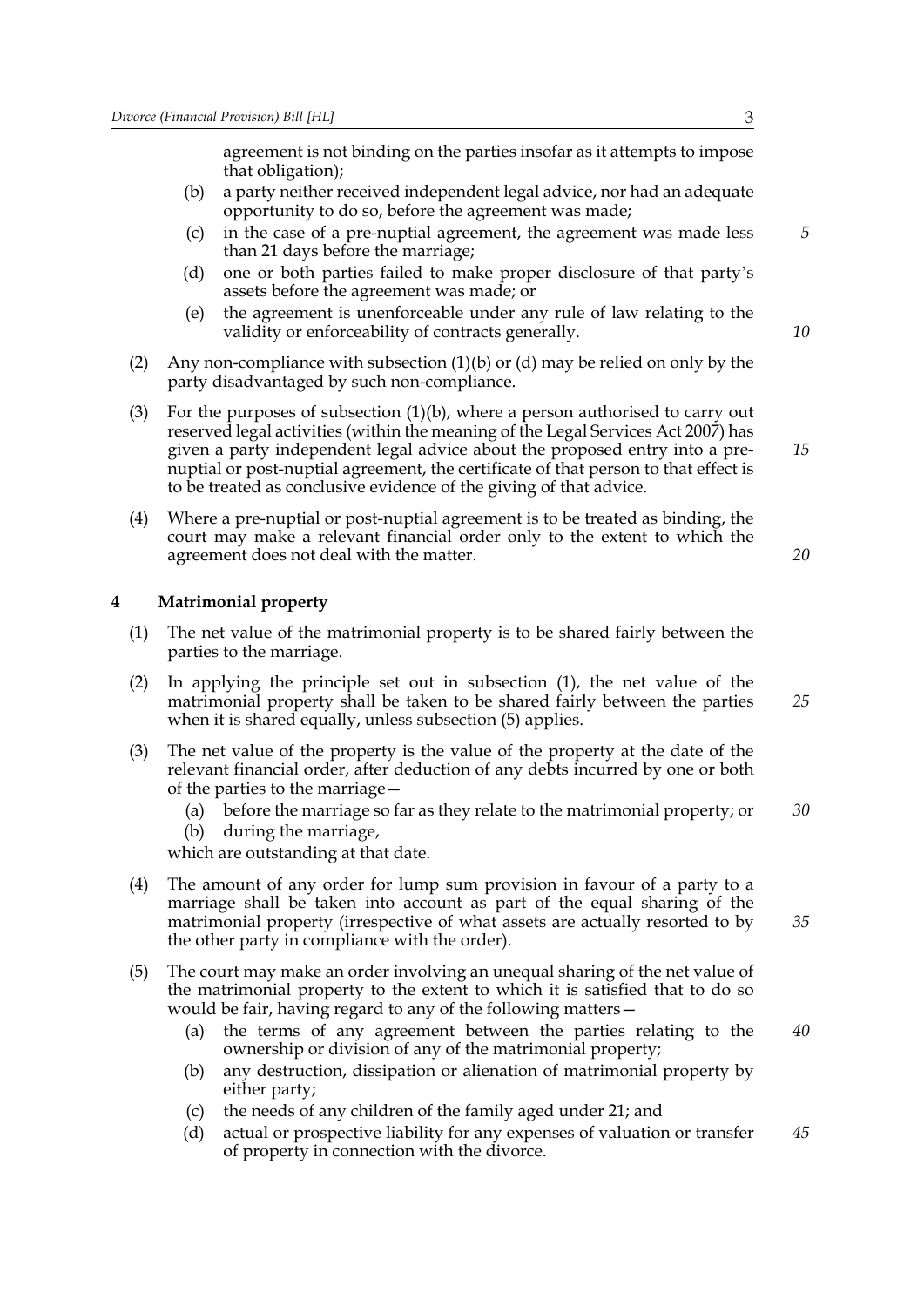agreement is not binding on the parties insofar as it attempts to impose that obligation);

- <span id="page-4-1"></span>(b) a party neither received independent legal advice, nor had an adequate opportunity to do so, before the agreement was made;
- (c) in the case of a pre-nuptial agreement, the agreement was made less than 21 days before the marriage;
- <span id="page-4-2"></span>(d) one or both parties failed to make proper disclosure of that party's assets before the agreement was made; or
- (e) the agreement is unenforceable under any rule of law relating to the validity or enforceability of contracts generally.
- (2) Any non-compliance with subsection [\(1\)\(b\)](#page-4-1) or [\(d\)](#page-4-2) may be relied on only by the party disadvantaged by such non-compliance.
- (3) For the purposes of subsection  $(1)(b)$ , where a person authorised to carry out reserved legal activities (within the meaning of the Legal Services Act 2007) has given a party independent legal advice about the proposed entry into a prenuptial or post-nuptial agreement, the certificate of that person to that effect is to be treated as conclusive evidence of the giving of that advice.
- (4) Where a pre-nuptial or post-nuptial agreement is to be treated as binding, the court may make a relevant financial order only to the extent to which the agreement does not deal with the matter.

#### <span id="page-4-5"></span><span id="page-4-0"></span>**4 Matrimonial property**

- <span id="page-4-3"></span>(1) The net value of the matrimonial property is to be shared fairly between the parties to the marriage.
- (2) In applying the principle set out in subsection [\(1\)](#page-4-3), the net value of the matrimonial property shall be taken to be shared fairly between the parties when it is shared equally, unless subsection [\(5\)](#page-4-4) applies.
- (3) The net value of the property is the value of the property at the date of the relevant financial order, after deduction of any debts incurred by one or both of the parties to the marriage—
	- (a) before the marriage so far as they relate to the matrimonial property; or *30*
	- (b) during the marriage,

which are outstanding at that date.

- (4) The amount of any order for lump sum provision in favour of a party to a marriage shall be taken into account as part of the equal sharing of the matrimonial property (irrespective of what assets are actually resorted to by the other party in compliance with the order).
- <span id="page-4-4"></span>(5) The court may make an order involving an unequal sharing of the net value of the matrimonial property to the extent to which it is satisfied that to do so would be fair, having regard to any of the following matters—
	- (a) the terms of any agreement between the parties relating to the ownership or division of any of the matrimonial property; *40*
	- (b) any destruction, dissipation or alienation of matrimonial property by either party;
	- (c) the needs of any children of the family aged under 21; and
	- (d) actual or prospective liability for any expenses of valuation or transfer of property in connection with the divorce. *45*

*15*

*20*

*5*

*10*

*25*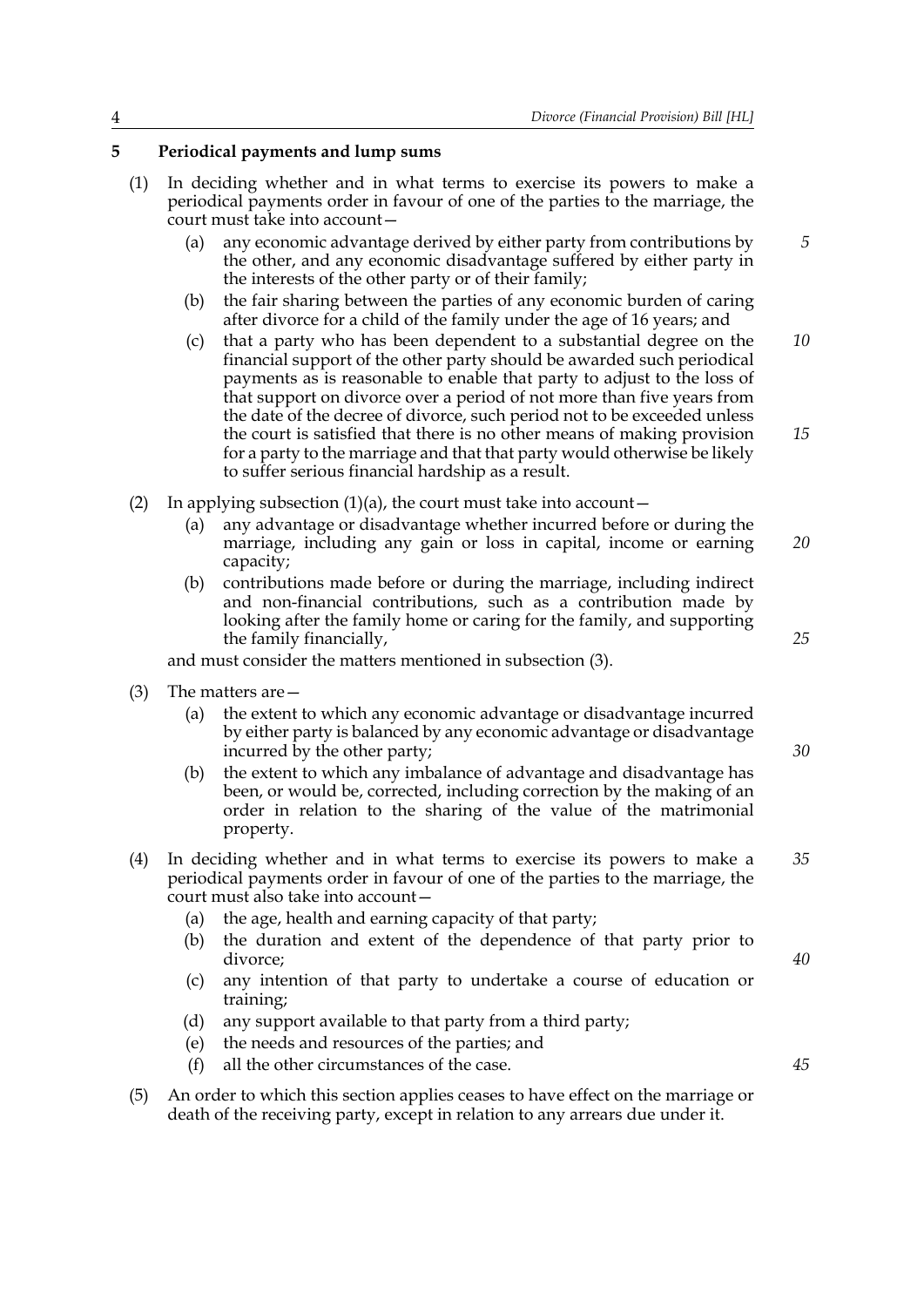#### <span id="page-5-3"></span><span id="page-5-0"></span>**5 Periodical payments and lump sums**

- <span id="page-5-1"></span>(1) In deciding whether and in what terms to exercise its powers to make a periodical payments order in favour of one of the parties to the marriage, the court must take into account—
	- (a) any economic advantage derived by either party from contributions by the other, and any economic disadvantage suffered by either party in the interests of the other party or of their family;
	- (b) the fair sharing between the parties of any economic burden of caring after divorce for a child of the family under the age of 16 years; and
	- (c) that a party who has been dependent to a substantial degree on the financial support of the other party should be awarded such periodical payments as is reasonable to enable that party to adjust to the loss of that support on divorce over a period of not more than five years from the date of the decree of divorce, such period not to be exceeded unless the court is satisfied that there is no other means of making provision for a party to the marriage and that that party would otherwise be likely to suffer serious financial hardship as a result. *10 15*
- (2) In applying subsection  $(1)(a)$ , the court must take into account
	- (a) any advantage or disadvantage whether incurred before or during the marriage, including any gain or loss in capital, income or earning capacity; *20*
	- (b) contributions made before or during the marriage, including indirect and non-financial contributions, such as a contribution made by looking after the family home or caring for the family, and supporting the family financially,

and must consider the matters mentioned in subsection [\(3\).](#page-5-2)

- <span id="page-5-2"></span>(3) The matters are—
	- (a) the extent to which any economic advantage or disadvantage incurred by either party is balanced by any economic advantage or disadvantage incurred by the other party;
	- (b) the extent to which any imbalance of advantage and disadvantage has been, or would be, corrected, including correction by the making of an order in relation to the sharing of the value of the matrimonial property.
- (4) In deciding whether and in what terms to exercise its powers to make a periodical payments order in favour of one of the parties to the marriage, the court must also take into account— *35*
	- (a) the age, health and earning capacity of that party;
	- (b) the duration and extent of the dependence of that party prior to divorce;
	- (c) any intention of that party to undertake a course of education or training;
	- (d) any support available to that party from a third party;
	- (e) the needs and resources of the parties; and
	- (f) all the other circumstances of the case.
- (5) An order to which this section applies ceases to have effect on the marriage or death of the receiving party, except in relation to any arrears due under it.

*25*

*30*

*5*

*40*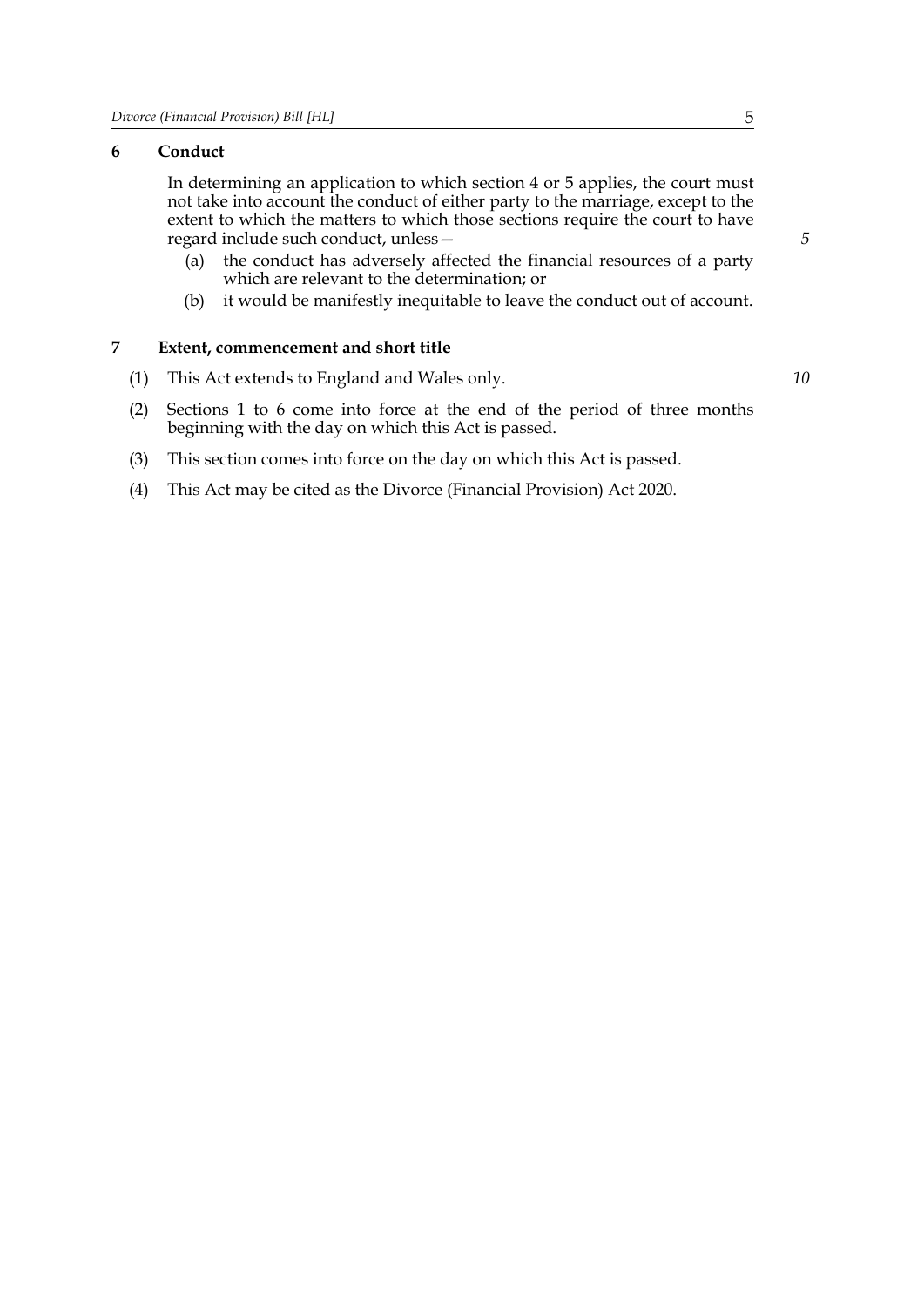#### <span id="page-6-2"></span>**6 Conduct**

<span id="page-6-0"></span>In determining an application to which section [4](#page-4-5) or [5](#page-5-3) applies, the court must not take into account the conduct of either party to the marriage, except to the extent to which the matters to which those sections require the court to have regard include such conduct, unless—

- (a) the conduct has adversely affected the financial resources of a party which are relevant to the determination; or
- <span id="page-6-1"></span>(b) it would be manifestly inequitable to leave the conduct out of account.

#### **7 Extent, commencement and short title**

- (1) This Act extends to England and Wales only.
- (2) Sections [1](#page-2-1) to [6](#page-6-2) come into force at the end of the period of three months beginning with the day on which this Act is passed.
- (3) This section comes into force on the day on which this Act is passed.
- (4) This Act may be cited as the Divorce (Financial Provision) Act 2020.

*10*